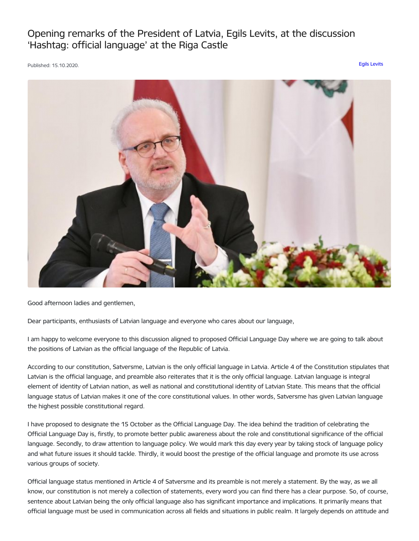Opening remarks of the President of Latvia, Egils Levits, at the discussion 'Hashtag: official language' at the Riga Castle

Published: 15.10.2020. Egils [Levits](https://www.president.lv/en/articles?category%255B276%255D=276)



Good afternoon ladies and gentlemen,

Dear participants, enthusiasts of Latvian language and everyone who cares about our language,

I am happy to welcome everyone to this discussion aligned to proposed Official Language Day where we are going to talk about the positions of Latvian as the official language of the Republic of Latvia.

According to our constitution, Satversme, Latvian is the only official language in Latvia. Article 4 of the Constitution stipulates that Latvian is the official language, and preamble also reiterates that it is the only official language. Latvian language is integral element of identity of Latvian nation, as well as national and constitutional identity of Latvian State. This means that the official language status of Latvian makes it one of the core constitutional values. In other words, Satversme has given Latvian language the highest possible constitutional regard.

I have proposed to designate the 15 October as the Official Language Day. The idea behind the tradition of celebrating the Official Language Day is, firstly, to promote better public awareness about the role and constitutional significance of the official language. Secondly, to draw attention to language policy. We would mark this day every year by taking stock of language policy and what future issues it should tackle. Thirdly, it would boost the prestige of the official language and promote its use across various groups of society.

Official language status mentioned in Article 4 of Satversme and its preamble is not merely a statement. By the way, as we all know, our constitution is not merely a collection of statements, every word you can find there has a clear purpose. So, of course, sentence about Latvian being the only official language also has significant importance and implications. It primarily means that official language must be used in communication across all fields and situations in public realm. It largely depends on attitude and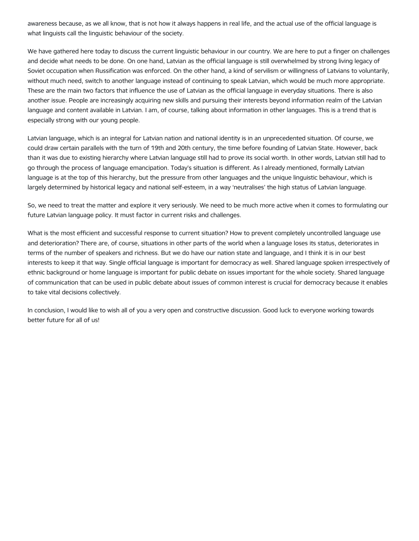awareness because, as we all know, that is not how it always happens in real life, and the actual use of the official language is what linguists call the linguistic behaviour of the society.

We have gathered here today to discuss the current linguistic behaviour in our country. We are here to put a finger on challenges and decide what needs to be done. On one hand, Latvian as the official language is still overwhelmed by strong living legacy of Soviet occupation when Russification was enforced. On the other hand, a kind of servilism or willingness of Latvians to voluntarily, without much need, switch to another language instead of continuing to speak Latvian, which would be much more appropriate. These are the main two factors that influence the use of Latvian as the official language in everyday situations. There is also another issue. People are increasingly acquiring new skills and pursuing their interests beyond information realm of the Latvian language and content available in Latvian. I am, of course, talking about information in other languages. This is a trend that is especially strong with our young people.

Latvian language, which is an integral for Latvian nation and national identity is in an unprecedented situation. Of course, we could draw certain parallels with the turn of 19th and 20th century, the time before founding of Latvian State. However, back than it was due to existing hierarchy where Latvian language still had to prove its social worth. In other words, Latvian still had to go through the process of language emancipation. Today's situation is different. As I already mentioned, formally Latvian language is at the top of this hierarchy, but the pressure from other languages and the unique linguistic behaviour, which is largely determined by historical legacy and national self-esteem, in a way 'neutralises' the high status of Latvian language.

So, we need to treat the matter and explore it very seriously. We need to be much more active when it comes to formulating our future Latvian language policy. It must factor in current risks and challenges.

What is the most efficient and successful response to current situation? How to prevent completely uncontrolled language use and deterioration? There are, of course, situations in other parts of the world when a language loses its status, deteriorates in terms of the number of speakers and richness. But we do have our nation state and language, and I think it is in our best interests to keep it that way. Single official language is important for democracy as well. Shared language spoken irrespectively of ethnic background or home language is important for public debate on issues important for the whole society. Shared language of communication that can be used in public debate about issues of common interest is crucial for democracy because it enables to take vital decisions collectively.

In conclusion, I would like to wish all of you a very open and constructive discussion. Good luck to everyone working towards better future for all of us!